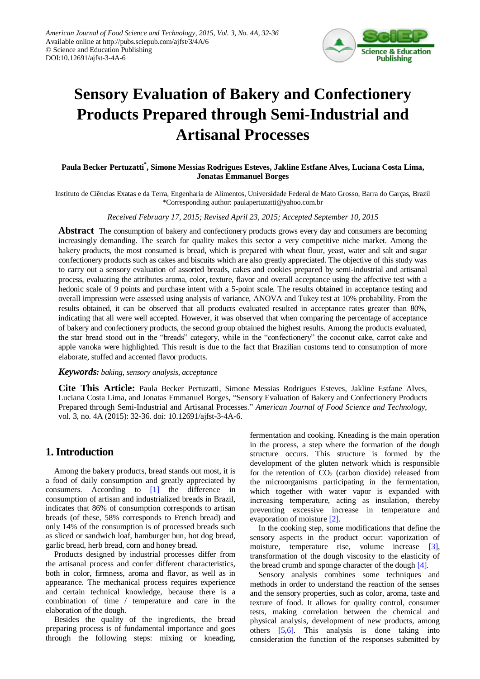

# **Sensory Evaluation of Bakery and Confectionery Products Prepared through Semi-Industrial and Artisanal Processes**

## **Paula Becker Pertuzatti\* , Simone Messias Rodrigues Esteves, Jakline Estfane Alves, Luciana Costa Lima, Jonatas Emmanuel Borges**

Instituto de Ciências Exatas e da Terra, Engenharia de Alimentos, Universidade Federal de Mato Grosso, Barra do Garças, Brazil \*Corresponding author: paulapertuzatti@yahoo.com.br

#### *Received February 17, 2015; Revised April 23, 2015; Accepted September 10, 2015*

**Abstract** The consumption of bakery and confectionery products grows every day and consumers are becoming increasingly demanding. The search for quality makes this sector a very competitive niche market. Among the bakery products, the most consumed is bread, which is prepared with wheat flour, yeast, water and salt and sugar confectionery products such as cakes and biscuits which are also greatly appreciated. The objective of this study was to carry out a sensory evaluation of assorted breads, cakes and cookies prepared by semi-industrial and artisanal process, evaluating the attributes aroma, color, texture, flavor and overall acceptance using the affective test with a hedonic scale of 9 points and purchase intent with a 5-point scale. The results obtained in acceptance testing and overall impression were assessed using analysis of variance, ANOVA and Tukey test at 10% probability. From the results obtained, it can be observed that all products evaluated resulted in acceptance rates greater than 80%, indicating that all were well accepted. However, it was observed that when comparing the percentage of acceptance of bakery and confectionery products, the second group obtained the highest results. Among the products evaluated, the star bread stood out in the "breads" category, while in the "confectionery" the coconut cake, carrot cake and apple vanoka were highlighted. This result is due to the fact that Brazilian customs tend to consumption of more elaborate, stuffed and accented flavor products.

#### *Keywords: baking, sensory analysis, acceptance*

**Cite This Article:** Paula Becker Pertuzatti, Simone Messias Rodrigues Esteves, Jakline Estfane Alves, Luciana Costa Lima, and Jonatas Emmanuel Borges, "Sensory Evaluation of Bakery and Confectionery Products Prepared through Semi-Industrial and Artisanal Processes." *American Journal of Food Science and Technology*, vol. 3, no. 4A (2015): 32-36. doi: 10.12691/ajfst-3-4A-6.

# **1. Introduction**

Among the bakery products, bread stands out most, it is a food of daily consumption and greatly appreciated by consumers. According to [\[1\]](#page-4-0) the difference in consumption of artisan and industrialized breads in Brazil, indicates that 86% of consumption corresponds to artisan breads (of these, 58% corresponds to French bread) and only 14% of the consumption is of processed breads such as sliced or sandwich loaf, hamburger bun, hot dog bread, garlic bread, herb bread, corn and honey bread.

Products designed by industrial processes differ from the artisanal process and confer different characteristics, both in color, firmness, aroma and flavor, as well as in appearance. The mechanical process requires experience and certain technical knowledge, because there is a combination of time / temperature and care in the elaboration of the dough.

Besides the quality of the ingredients, the bread preparing process is of fundamental importance and goes through the following steps: mixing or kneading, fermentation and cooking. Kneading is the main operation in the process, a step where the formation of the dough structure occurs. This structure is formed by the development of the gluten network which is responsible for the retention of  $CO<sub>2</sub>$  (carbon dioxide) released from the microorganisms participating in the fermentation, which together with water vapor is expanded with increasing temperature, acting as insulation, thereby preventing excessive increase in temperature and evaporation of moisture [\[2\].](#page-4-1)

In the cooking step, some modifications that define the sensory aspects in the product occur: vaporization of moisture, temperature rise, volume increase [\[3\],](#page-4-2) transformation of the dough viscosity to the elasticity of the bread crumb and sponge character of the doug[h \[4\].](#page-4-3)

Sensory analysis combines some techniques and methods in order to understand the reaction of the senses and the sensory properties, such as color, aroma, taste and texture of food. It allows for quality control, consumer tests, making correlation between the chemical and physical analysis, development of new products, among others [\[5,6\].](#page-4-4) This analysis is done taking into consideration the function of the responses submitted by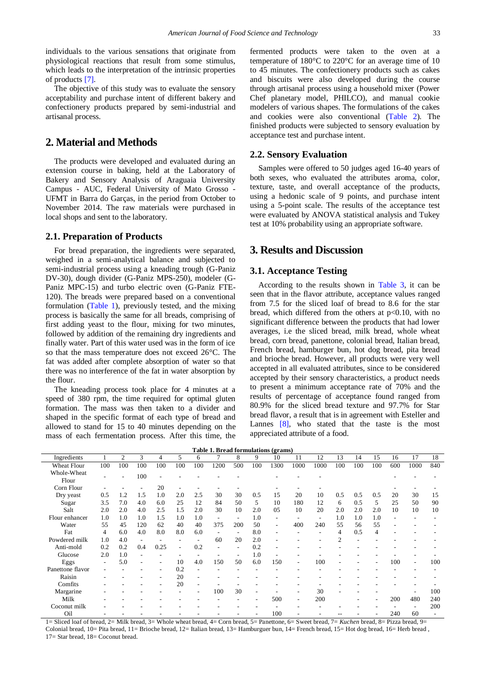individuals to the various sensations that originate from physiological reactions that result from some stimulus, which leads to the interpretation of the intrinsic properties of product[s \[7\].](#page-4-5)

The objective of this study was to evaluate the sensory acceptability and purchase intent of different bakery and confectionery products prepared by semi-industrial and artisanal process.

## **2. Material and Methods**

The products were developed and evaluated during an extension course in baking, held at the Laboratory of Bakery and Sensory Analysis of Araguaia University Campus - AUC, Federal University of Mato Grosso - UFMT in Barra do Garças, in the period from October to November 2014. The raw materials were purchased in local shops and sent to the laboratory.

## **2.1. Preparation of Products**

For bread preparation, the ingredients were separated, weighed in a semi-analytical balance and subjected to semi-industrial process using a kneading trough (G-Paniz DV-30), dough divider (G-Paniz MPS-250), modeler (G-Paniz MPC-15) and turbo electric oven (G-Paniz FTE-120). The breads were prepared based on a conventional formulation [\(Table 1\)](#page-1-0), previously tested, and the mixing process is basically the same for all breads, comprising of first adding yeast to the flour, mixing for two minutes, followed by addition of the remaining dry ingredients and finally water. Part of this water used was in the form of ice so that the mass temperature does not exceed 26°C. The fat was added after complete absorption of water so that there was no interference of the fat in water absorption by the flour.

The kneading process took place for 4 minutes at a speed of 380 rpm, the time required for optimal gluten formation. The mass was then taken to a divider and shaped in the specific format of each type of bread and allowed to stand for 15 to 40 minutes depending on the mass of each fermentation process. After this time, the

fermented products were taken to the oven at a temperature of 180°C to 220°C for an average time of 10 to 45 minutes. The confectionery products such as cakes and biscuits were also developed during the course through artisanal process using a household mixer (Power Chef planetary model, PHILCO), and manual cookie modelers of various shapes. The formulations of the cakes and cookies were also conventional [\(Table 2\)](#page-2-0). The finished products were subjected to sensory evaluation by acceptance test and purchase intent.

#### **2.2. Sensory Evaluation**

Samples were offered to 50 judges aged 16-40 years of both sexes, who evaluated the attributes aroma, color, texture, taste, and overall acceptance of the products, using a hedonic scale of 9 points, and purchase intent using a 5-point scale. The results of the acceptance test were evaluated by ANOVA statistical analysis and Tukey test at 10% probability using an appropriate software.

# **3. Results and Discussion**

### **3.1. Acceptance Testing**

According to the results shown in [Table 3,](#page-2-1) it can be seen that in the flavor attribute, acceptance values ranged from 7.5 for the sliced loaf of bread to 8.6 for the star bread, which differed from the others at  $p<0.10$ , with no significant difference between the products that had lower averages, i.e the sliced bread, milk bread, whole wheat bread, corn bread, panettone, colonial bread, Italian bread, French bread, hamburger bun, hot dog bread, pita bread and brioche bread. However, all products were very well accepted in all evaluated attributes, since to be considered accepted by their sensory characteristics, a product needs to present a minimum acceptance rate of 70% and the results of percentage of acceptance found ranged from 80.9% for the sliced bread texture and 97.7% for Star bread flavor, a result that is in agreement with Esteller and Lannes [\[8\],](#page-4-6) who stated that the taste is the most appreciated attribute of a food.

|  | Table 1. Bread formulations (grams) |  |
|--|-------------------------------------|--|
|  |                                     |  |

<span id="page-1-0"></span>

| Ingredients          |                | 2   | 3                        | 4    | 5                        | 6   | 7                        | 8                        | 9   | 10                       | 11                       | 12   | 13  | 14  | 15             | 16  | 17                       | 18  |
|----------------------|----------------|-----|--------------------------|------|--------------------------|-----|--------------------------|--------------------------|-----|--------------------------|--------------------------|------|-----|-----|----------------|-----|--------------------------|-----|
| <b>Wheat Flour</b>   | 100            | 100 | 100                      | 100  | 100                      | 100 | 1200                     | 500                      | 100 | 1300                     | 1000                     | 1000 | 100 | 100 | 100            | 600 | 1000                     | 840 |
| Whole-Wheat<br>Flour |                |     | 100                      |      |                          |     |                          |                          |     |                          |                          |      |     |     |                |     |                          |     |
| Corn Flour           |                |     |                          | 20   |                          |     |                          |                          |     |                          |                          |      |     |     |                |     |                          |     |
| Dry yeast            | 0.5            | 1.2 | 1.5                      | 1.0  | 2.0                      | 2.5 | 30                       | 30                       | 0.5 | 15                       | 20                       | 10   | 0.5 | 0.5 | 0.5            | 20  | 30                       | 15  |
| Sugar                | 3.5            | 7.0 | 4.0                      | 6.0  | 25                       | 12  | 84                       | 50                       | 5   | 10                       | 180                      | 12   | 6   | 0.5 | 5              | 25  | 50                       | 90  |
| Salt                 | 2.0            | 2.0 | 4.0                      | 2.5  | 1.5                      | 2.0 | 30                       | 10                       | 2.0 | 05                       | 10                       | 20   | 2.0 | 2.0 | 2.0            | 10  | 10                       | 10  |
| Flour enhancer       | 1.0            | 1.0 | 1.0                      | 1.5  | 1.0                      | 1.0 | $\overline{\phantom{a}}$ | ۰                        | 1.0 | ٠                        |                          | ۰    | 1.0 | 1.0 | 1.0            |     |                          |     |
| Water                | 55             | 45  | 120                      | 62   | 40                       | 40  | 375                      | 200                      | 50  | $\overline{a}$           | 400                      | 240  | 55  | 56  | 55             |     |                          |     |
| Fat                  | $\overline{4}$ | 6.0 | 4.0                      | 8.0  | 8.0                      | 6.0 | $\overline{a}$           | $\overline{\phantom{0}}$ | 8.0 | $\overline{\phantom{a}}$ |                          |      | 4   | 0.5 | $\overline{4}$ |     |                          |     |
| Powdered milk        | 1.0            | 4.0 | $\overline{\phantom{a}}$ |      |                          |     | 60                       | 20                       | 2.0 |                          |                          |      | 2   |     |                |     |                          |     |
| Anti-mold            | 0.2            | 0.2 | 0.4                      | 0.25 | $\overline{\phantom{a}}$ | 0.2 | ٠                        | $\overline{\phantom{a}}$ | 0.2 |                          |                          |      |     |     |                |     |                          |     |
| Glucose              | 2.0            | 1.0 | ٠                        |      |                          |     |                          | $\overline{\phantom{a}}$ | 1.0 |                          |                          |      |     |     |                |     |                          |     |
| Eggs                 | $\overline{a}$ | 5.0 | ۰                        |      | 10                       | 4.0 | 150                      | 50                       | 6.0 | 150                      | $\overline{\phantom{a}}$ | 100  |     |     |                | 100 | $\overline{\phantom{a}}$ | 100 |
| Panettone flavor     |                |     |                          |      | 0.2                      |     |                          |                          |     |                          |                          |      |     |     |                |     |                          |     |
| Raisin               |                |     |                          |      | 20                       |     |                          |                          |     |                          |                          |      |     |     |                |     |                          |     |
| Comfits              |                |     |                          |      | 20                       |     |                          |                          |     |                          |                          |      |     |     |                |     |                          |     |
| Margarine            |                |     |                          |      |                          |     | 100                      | 30                       |     |                          | $\overline{\phantom{0}}$ | 30   |     |     |                |     | $\overline{\phantom{a}}$ | 100 |
| Milk                 |                |     |                          |      |                          |     |                          |                          |     | 500                      | $\overline{\phantom{a}}$ | 200  |     |     |                | 200 | 480                      | 240 |
| Coconut milk         |                |     |                          |      |                          |     |                          |                          |     |                          |                          |      |     |     |                |     |                          | 200 |
| Oil                  |                |     |                          |      |                          |     |                          |                          |     | 100                      |                          |      |     |     |                | 240 | 60                       |     |

1= Sliced loaf of bread, 2= Milk bread, 3= Whole wheat bread, 4= Corn bread, 5= Panettone, 6= Sweet bread, 7= *Kuchen* bread, 8= Pizza bread, 9= Colonial bread, 10= Pita bread, 11= Brioche bread, 12= Italian bread, 13= Hamburguer bun, 14= French bread, 15= Hot dog bread, 16= Herb bread , 17= Star bread, 18= Coconut bread.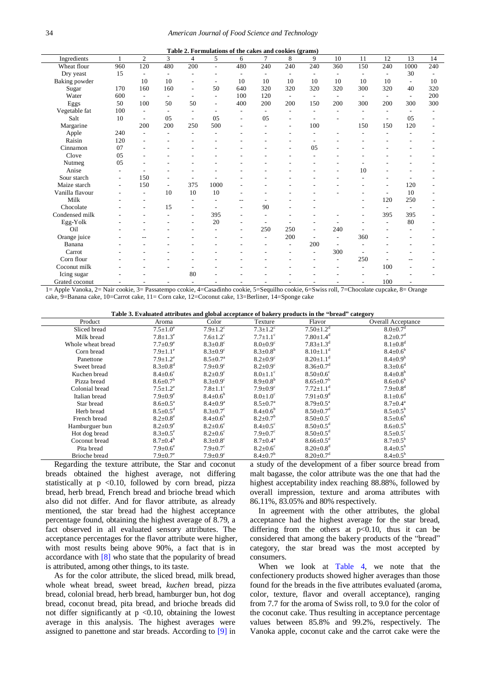<span id="page-2-0"></span>

| Table 2. Formulations of the cakes and cookies (grams) |                          |                          |        |                          |                          |     |                |                              |                          |                          |     |                          |                          |     |
|--------------------------------------------------------|--------------------------|--------------------------|--------|--------------------------|--------------------------|-----|----------------|------------------------------|--------------------------|--------------------------|-----|--------------------------|--------------------------|-----|
| Ingredients                                            | 1                        | $\overline{c}$           | 3      | 4                        | 5                        | 6   | $\overline{7}$ | 8                            | $\mathbf{Q}$             | 10                       | 11  | 12                       | 13                       | 14  |
| Wheat flour                                            | 960                      | 120                      | 480    | 200                      | $\overline{\phantom{a}}$ | 480 | 240            | 240                          | 240                      | 360                      | 150 | 240                      | 1000                     | 240 |
| Dry yeast                                              | 15                       |                          |        |                          |                          |     |                |                              |                          |                          |     |                          | 30                       |     |
| Baking powder                                          |                          | 10                       | 10     |                          | $\overline{\phantom{a}}$ | 10  | 10             | 10                           | 10                       | 10                       | 10  | 10                       | $\overline{\phantom{a}}$ | 10  |
| Sugar                                                  | 170                      | 160                      | 160    | $\overline{\phantom{a}}$ | 50                       | 640 | 320            | 320                          | 320                      | 320                      | 300 | 320                      | 40                       | 320 |
| Water                                                  | 600                      | $\overline{\phantom{a}}$ | $\sim$ | $\overline{a}$           | $\overline{\phantom{a}}$ | 100 | 120            | $\overline{\phantom{a}}$     | $\overline{\phantom{a}}$ | $\overline{\phantom{a}}$ |     | $\overline{\phantom{0}}$ | $\overline{\phantom{a}}$ | 200 |
| Eggs                                                   | 50                       | 100                      | 50     | 50                       | $\overline{\phantom{a}}$ | 400 | 200            | 200                          | 150                      | 200                      | 300 | 200                      | 300                      | 300 |
| Vegetable fat                                          | 100                      |                          |        | ٠                        |                          |     |                |                              |                          |                          |     |                          |                          |     |
| Salt                                                   | 10                       | $\sim$                   | 05     | $\sim$                   | 05                       |     | 05             |                              |                          |                          |     |                          | 05                       |     |
| Margarine                                              |                          | 200                      | 200    | 250                      | 500                      |     |                | ٠                            | 100                      |                          | 150 | 150                      | 120                      |     |
| Apple                                                  | 240                      |                          |        |                          |                          |     |                |                              |                          |                          |     |                          |                          |     |
| Raisin                                                 | 120                      |                          |        |                          |                          |     |                |                              |                          |                          |     |                          |                          |     |
| Cinnamon                                               | 07                       |                          |        |                          |                          |     |                |                              | 05                       |                          |     |                          |                          |     |
| Clove                                                  | 05                       |                          |        |                          |                          |     |                |                              |                          |                          |     |                          |                          |     |
| Nutmeg                                                 | 05                       |                          |        |                          |                          |     |                |                              |                          |                          |     |                          |                          |     |
| Anise                                                  |                          |                          |        |                          |                          |     |                |                              |                          |                          | 10  |                          |                          |     |
| Sour starch                                            | $\overline{\phantom{a}}$ | 150                      |        |                          |                          |     |                |                              |                          |                          |     |                          |                          |     |
| Maize starch                                           | $\overline{\phantom{a}}$ | 150                      | ٠      | 375                      | 1000                     |     |                |                              |                          |                          |     |                          | 120                      |     |
| Vanilla flavour                                        |                          |                          | 10     | 10                       | 10                       |     |                |                              |                          |                          |     |                          | 10                       |     |
| Milk                                                   |                          |                          |        |                          |                          | --  |                |                              |                          |                          |     | 120                      | 250                      |     |
| Chocolate                                              |                          |                          | 15     |                          |                          |     | 90             |                              |                          |                          |     |                          | $\overline{\phantom{a}}$ |     |
| Condensed milk                                         |                          |                          |        | $\overline{a}$           | 395                      |     |                |                              |                          |                          |     | 395                      | 395                      |     |
| ${\rm Egg\text{-}Yolk}$                                |                          |                          |        |                          | 20                       |     |                |                              |                          |                          |     |                          | 80                       |     |
| Oil                                                    |                          |                          |        |                          |                          |     | 250            | 250                          | ٠                        | 240                      |     |                          |                          |     |
| Orange juice                                           |                          |                          |        |                          |                          |     |                | 200                          |                          | $\overline{\phantom{a}}$ | 360 |                          |                          |     |
| Banana                                                 |                          |                          |        |                          |                          |     |                | $\qquad \qquad \blacksquare$ | 200                      | $\overline{\phantom{a}}$ |     |                          |                          |     |
| Carrot                                                 |                          |                          |        |                          |                          |     |                |                              | ٠                        | 300                      |     |                          |                          |     |
| Corn flour                                             |                          |                          |        |                          |                          |     |                |                              |                          |                          | 250 |                          |                          |     |
| Coconut milk                                           |                          |                          |        | $\overline{\phantom{a}}$ |                          |     |                |                              |                          |                          |     | 100                      |                          |     |
| Icing sugar                                            |                          |                          |        | 80                       |                          |     |                |                              |                          |                          |     |                          |                          |     |
| Grated coconut                                         |                          |                          |        | $\overline{\phantom{a}}$ |                          |     |                |                              |                          |                          |     | 100                      |                          |     |

1= Apple Vanoka, 2= Nair cookie, 3= Passatempo ccokie, 4=Casadinho cookie, 5=Sequilho cookie, 6=Swiss roll, 7=Chocolate cupcake, 8= Orange cake, 9=Banana cake, 10=Carrot cake, 11= Corn cake, 12=Coconut cake, 13=Berliner, 14=Sponge cake

| Table 3. Evaluated attributes and global acceptance of bakery products in the "bread" category |  |  |  |
|------------------------------------------------------------------------------------------------|--|--|--|
|                                                                                                |  |  |  |

<span id="page-2-1"></span>

| Product           | Aroma                      | Color                      | Texture                           | Flavor                      | Overall Acceptance                                     |
|-------------------|----------------------------|----------------------------|-----------------------------------|-----------------------------|--------------------------------------------------------|
| Sliced bread      | $7.5 \pm 1.0^e$            | $7.9 \pm 1.2$ <sup>c</sup> | $7.3 \pm 1.2$ <sup>c</sup>        | $7.50 \pm 1.2$ <sup>d</sup> | $8.0 \pm 0.7$ <sup>d</sup>                             |
| Milk bread        | $7.8 \pm 1.3^{\circ}$      | $7.6 \pm 1.2$ <sup>c</sup> | $7.7 \pm 1.1$ <sup>c</sup>        | $7.80 \pm 1.4$ <sup>d</sup> | $8.2 \pm 0.7$ <sup>d</sup>                             |
| Whole wheat bread | $7.7 \pm 0.9^e$            | $8.3 \pm 0.8$ <sup>c</sup> | $8.0 \pm 0.9$ <sup>c</sup>        | $7.83 \pm 1.3$ <sup>d</sup> | $8.1 \pm 0.8$ <sup>d</sup>                             |
| Corn bread        | $7.9 \pm 1.1^{\circ}$      | $8.3 \pm 0.9$ <sup>c</sup> | $8.3 \pm 0.8^b$                   | $8.10 \pm 1.1$ <sup>d</sup> | $8.4{\pm}0.6^b$                                        |
| Panettone         | $7.9 \pm 1.2^e$            | $8.5 \pm 0.7^{\circ}$      | $8.2 \pm 0.9$ <sup>c</sup>        | $8.20 \pm 1.1$ <sup>d</sup> | $8.4 \pm 0.9^b$                                        |
| Sweet bread       | $8.3 \pm 0.8$ <sup>d</sup> | $7.9 \pm 0.9$ <sup>c</sup> | $8.2 \pm 0.9$ <sup>c</sup>        | $8.36 \pm 0.7$ <sup>d</sup> | $8.3 \pm 0.6^d$                                        |
| Kuchen bread      | $8.4 \pm 0.6^{\circ}$      | $8.2 \pm 0.9^{\circ}$      | $8.0 \pm 1.1$ <sup>c</sup>        | $8.50 \pm 0.6$ <sup>c</sup> | $8.4 \pm 0.8^{\rm b}$                                  |
| Pizza bread       | $8.6 \pm 0.7^b$            | $8.3 \pm 0.9$ <sup>c</sup> | $8.9 \pm 0.8^{\rm b}$             | $8.65 \pm 0.7^b$            | $8.6{\pm}0.6^b$                                        |
| Colonial bread    | $7.5 \pm 1.2^e$            | $7.8 \pm 1.1$ <sup>c</sup> | $7.9 \pm 0.9$ <sup>c</sup>        | $7.72 + 1.1$ <sup>d</sup>   | $7.9 \pm 0.8$ <sup>d</sup>                             |
| Italian bread     | $7.9 \pm 0.9^e$            | $8.4 \pm 0.6^b$            | $8.0 \pm 1.0^{\circ}$             | $7.91 \pm 0.9$ <sup>d</sup> | $8.1 \pm 0.6^d$                                        |
| Star bread        | $8.6 \pm 0.5^{\text{a}}$   | $8.4 \pm 0.9^{\circ}$      | $8.5 \pm 0.7^{\rm a}$             | $8.79 \pm 0.5^{\text{a}}$   | $8.7 \pm 0.4^{\text{a}}$                               |
| Herb bread        | $8.5 \pm 0.5$ <sup>d</sup> | $8.3 \pm 0.7$ <sup>c</sup> | $8.4 \pm 0.6^b$                   | $8.50 \pm 0.7$ <sup>d</sup> | $8.5 \pm 0.5^{\rm b}$                                  |
| French bread      | $8.2 \pm 0.8^{\circ}$      | $8.4 \pm 0.6^b$            | $8.2 \pm 0.7^{\rm b}$             | $8.50 \pm 0.5$ °            | $8.5 \pm 0.6^b$                                        |
| Hamburguer bun    | $8.2 \pm 0.9^e$            | $8.2 \pm 0.6^{\circ}$      | $8.4 \pm 0.5$ <sup>c</sup>        | $8.50 \pm 0.5$ <sup>d</sup> | $8.6{\pm}0.5^{b}$                                      |
| Hot dog bread     | $8.3 \pm 0.5^{\circ}$      | $8.2 \pm 0.6^{\circ}$      | $7.9 \pm 0.7$ <sup>c</sup>        | $8.50 \pm 0.5$ <sup>d</sup> | $8.5 \pm 0.5$ <sup>c</sup>                             |
| Coconut bread     | $8.7 \pm 0.4^b$            | $8.3 \pm 0.8$ <sup>c</sup> | $8.7 \pm 0.4^{\text{a}}$          | $8.66 \pm 0.5$ <sup>d</sup> | $8.7 \pm 0.5^{\rm b}$                                  |
| Pita bread        | $7.9 \pm 0.6^{\circ}$      | $7.9 \pm 0.7$ <sup>c</sup> | $8.2 \pm 0.6^{\circ}$             | $8.20 \pm 0.8$ <sup>d</sup> | $8.4 \pm 0.5^{\rm b}$                                  |
| Brioche bread     | $7.9 \pm 0.7^{\circ}$      | $7.9 \pm 0.9$ <sup>c</sup> | $8.4 \pm 0.7^b$                   | $8.20 \pm 0.7$ <sup>d</sup> | $8.4 \pm 0.5^{\circ}$                                  |
| n.                | $\cdots$<br>$\sim$         | п.                         | $C_{\alpha}$ $\alpha$<br>$\sim$ 1 | $\sim$ $\sim$               | $\sim$ 1<br>$\mathbf{r}$<br>$\epsilon$<br>$\mathbf{u}$ |

Regarding the texture attribute, the Star and coconut breads obtained the highest average, not differing statistically at  $p \le 0.10$ , followed by corn bread, pizza bread, herb bread, French bread and brioche bread which also did not differ. And for flavor attribute, as already mentioned, the star bread had the highest acceptance percentage found, obtaining the highest average of 8.79, a fact observed in all evaluated sensory attributes. The acceptance percentages for the flavor attribute were higher, with most results being above 90%, a fact that is in accordance with [\[8\]](#page-4-6) who state that the popularity of bread is attributed, among other things, to its taste.

As for the color attribute, the sliced bread, milk bread, whole wheat bread, sweet bread, *kuchen* bread, pizza bread, colonial bread, herb bread, hamburger bun, hot dog bread, coconut bread, pita bread, and brioche breads did not differ significantly at  $p \le 0.10$ , obtaining the lowest average in this analysis. The highest averages were assigned to panettone and star breads. According to [\[9\]](#page-4-7) in a study of the development of a fiber source bread from malt bagasse, the color attribute was the one that had the highest acceptability index reaching 88.88%, followed by overall impression, texture and aroma attributes with 86.11%, 83.05% and 80% respectively.

In agreement with the other attributes, the global acceptance had the highest average for the star bread, differing from the others at  $p<0.10$ , thus it can be considered that among the bakery products of the "bread" category, the star bread was the most accepted by consumers.

When we look at [Table 4,](#page-3-0) we note that the confectionery products showed higher averages than those found for the breads in the five attributes evaluated (aroma, color, texture, flavor and overall acceptance), ranging from 7.7 for the aroma of Swiss roll, to 9.0 for the color of the coconut cake. Thus resulting in acceptance percentage values between 85.8% and 99.2%, respectively. The Vanoka apple, coconut cake and the carrot cake were the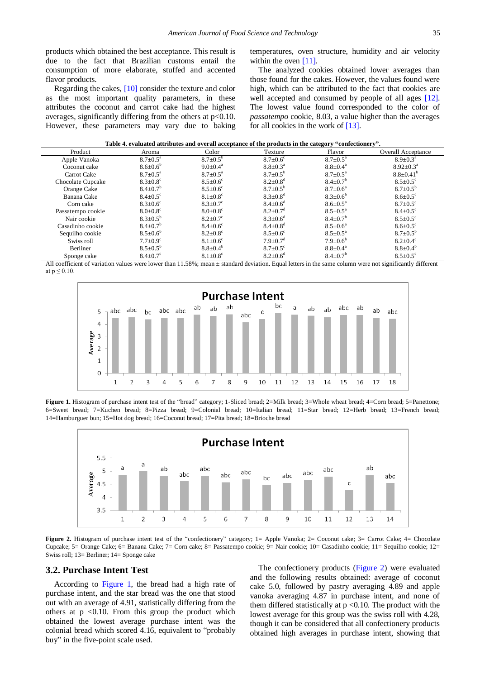products which obtained the best acceptance. This result is due to the fact that Brazilian customs entail the consumption of more elaborate, stuffed and accented flavor products.

Regarding the cakes[, \[10\]](#page-4-8) consider the texture and color as the most important quality parameters, in these attributes the coconut and carrot cake had the highest averages, significantly differing from the others at  $p<0.10$ . However, these parameters may vary due to baking temperatures, oven structure, humidity and air velocity within the oven [\[11\].](#page-4-9)

The analyzed cookies obtained lower averages than those found for the cakes. However, the values found were high, which can be attributed to the fact that cookies are well accepted and consumed by people of all ages [\[12\].](#page-4-10) The lowest value found corresponded to the color of *passatempo* cookie, 8.03, a value higher than the averages for all cookies in the work of [\[13\].](#page-4-11)

| Table 4. evaluated attributes and overall acceptance of the products in the category "confectionery". |  |  |
|-------------------------------------------------------------------------------------------------------|--|--|
|                                                                                                       |  |  |

<span id="page-3-0"></span>

| Product           | Aroma                      | Color                      | Texture                    | Flavor                   | <b>Overall Acceptance</b>  |
|-------------------|----------------------------|----------------------------|----------------------------|--------------------------|----------------------------|
| Apple Vanoka      | $8.7 \pm 0.5^{\circ}$      | $8.7 \pm 0.5^{\circ}$      | $8.7 + 0.6^{\circ}$        | $8.7 \pm 0.5^{\text{a}}$ | $8.9 \pm 0.3^{\text{a}}$   |
| Coconut cake      | $8.6 \pm 0.6^b$            | $9.0 \pm 0.4^{\circ}$      | $8.8 \pm 0.3^{\circ}$      | $8.8 \pm 0.4^{\circ}$    | $8.92 \pm 0.3^{\text{a}}$  |
| Carrot Cake       | $8.7 \pm 0.5^{\text{a}}$   | $8.7 \pm 0.5^{\text{a}}$   | $8.7 \pm 0.5^{\circ}$      | $8.7 \pm 0.5^{\text{a}}$ | $8.8 \pm 0.41^b$           |
| Chocolate Cupcake | $8.3 \pm 0.8$ <sup>c</sup> | $8.5 \pm 0.6^{\circ}$      | $8.2 \pm 0.8$ <sup>d</sup> | $8.4 \pm 0.7^{\circ}$    | $8.5 \pm 0.5$ <sup>c</sup> |
| Orange Cake       | $8.4 \pm 0.7$ <sup>b</sup> | $8.5 \pm 0.6$ <sup>c</sup> | $8.7 \pm 0.5^{\rm b}$      | $8.7 \pm 0.6^{\circ}$    | $8.7 \pm 0.5^{\rm b}$      |
| Banana Cake       | $8.4 \pm 0.5^{\circ}$      | $8.1 \pm 0.8$ <sup>c</sup> | $8.3 \pm 0.8$ <sup>d</sup> | $8.3 \pm 0.6^b$          | $8.6 \pm 0.5$ <sup>c</sup> |
| Corn cake         | $8.3 \pm 0.6^{\circ}$      | $8.3 \pm 0.7$ <sup>c</sup> | $8.4 \pm 0.6^{\circ}$      | $8.6 \pm 0.5^{\text{a}}$ | $8.7 \pm 0.5$ <sup>c</sup> |
| Passatempo cookie | $8.0 \pm 0.8$ <sup>c</sup> | $8.0{\pm}0.8^{\circ}$      | $8.2 \pm 0.7$ <sup>d</sup> | $8.5 \pm 0.5^{\text{a}}$ | $8.4 \pm 0.5$ <sup>c</sup> |
| Nair cookie       | $8.3 \pm 0.5^{\circ}$      | $8.2 \pm 0.7$ °            | $8.3 \pm 0.6^d$            | $8.4 \pm 0.7^{\circ}$    | $8.5 \pm 0.5$ <sup>c</sup> |
| Casadinho cookie  | $8.4 \pm 0.7^{\circ}$      | $8.4 \pm 0.6$ <sup>c</sup> | $8.4 \pm 0.8$ <sup>d</sup> | $8.5 \pm 0.6^{\circ}$    | $8.6 \pm 0.5$ <sup>c</sup> |
| Sequilho cookie   | $8.5 \pm 0.6^{\circ}$      | $8.2 \pm 0.8$ <sup>c</sup> | $8.5 \pm 0.6^{\circ}$      | $8.5 \pm 0.5^{\circ}$    | $8.7 \pm 0.5^{\circ}$      |
| Swiss roll        | $7.7 \pm 0.9^{\circ}$      | $8.1 \pm 0.6$ <sup>c</sup> | $7.9 \pm 0.7$ <sup>d</sup> | $7.9 \pm 0.6^{\circ}$    | $8.2 \pm 0.4^{\circ}$      |
| Berliner          | $8.5 \pm 0.5^{\circ}$      | $8.8 \pm 0.4^b$            | $8.7 \pm 0.5$ <sup>c</sup> | $8.8 \pm 0.4^{\rm a}$    | $8.8 \pm 0.4^b$            |
| Sponge cake       | $8.4 \pm 0.7$ <sup>c</sup> | $8.1 \pm 0.8$ <sup>c</sup> | $8.2 \pm 0.6^{\rm d}$      | $8.4 \pm 0.7^{\circ}$    | $8.5 \pm 0.5^{\circ}$      |

<span id="page-3-1"></span>All coefficient of variation values were lower than 11.58%; mean ± standard deviation. Equal letters in the same column were not significantly different at  $p \leq 0.10$ .



Figure 1. Histogram of purchase intent test of the "bread" category; 1-Sliced bread; 2=Milk bread; 3=Whole wheat bread; 4=Corn bread; 5=Panettone; 6=Sweet bread; 7=Kuchen bread; 8=Pizza bread; 9=Colonial bread; 10=Italian bread; 11=Star bread; 12=Herb bread; 13=French bread; 14=Hamburguer bun; 15=Hot dog bread; 16=Coconut bread; 17=Pita bread; 18=Brioche bread

<span id="page-3-2"></span>

**Figure 2.** Histogram of purchase intent test of the "confectionery" category; 1= Apple Vanoka; 2= Coconut cake; 3= Carrot Cake; 4= Chocolate Cupcake; 5= Orange Cake; 6= Banana Cake; 7= Corn cake; 8= Passatempo cookie; 9= Nair cookie; 10= Casadinho cookie; 11= Sequilho cookie; 12= Swiss roll; 13= Berliner; 14= Sponge cake

#### **3.2. Purchase Intent Test**

According to [Figure 1,](#page-3-1) the bread had a high rate of purchase intent, and the star bread was the one that stood out with an average of 4.91, statistically differing from the others at  $p \le 0.10$ . From this group the product which obtained the lowest average purchase intent was the colonial bread which scored 4.16, equivalent to "probably buy" in the five-point scale used.

The confectionery products [\(Figure 2\)](#page-3-2) were evaluated and the following results obtained: average of coconut cake 5.0, followed by pastry averaging 4.89 and apple vanoka averaging 4.87 in purchase intent, and none of them differed statistically at  $p \le 0.10$ . The product with the lowest average for this group was the swiss roll with 4.28, though it can be considered that all confectionery products obtained high averages in purchase intent, showing that